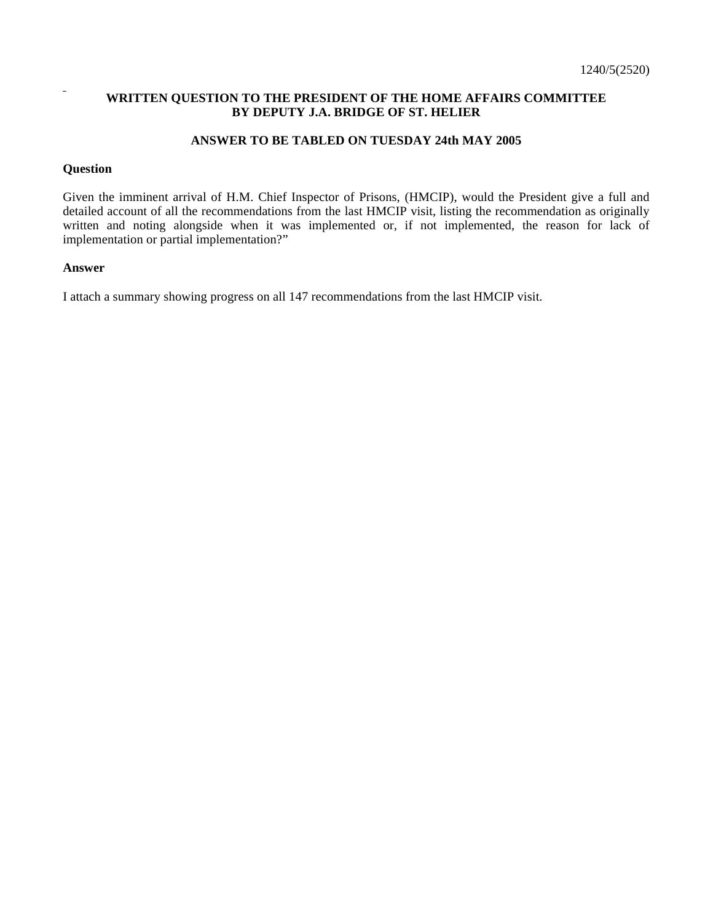## **WRITTEN QUESTION TO THE PRESIDENT OF THE HOME AFFAIRS COMMITTEE BY DEPUTY J.A. BRIDGE OF ST. HELIER**

## **ANSWER TO BE TABLED ON TUESDAY 24th MAY 2005**

## **Question**

Given the imminent arrival of H.M. Chief Inspector of Prisons, (HMCIP), would the President give a full and detailed account of all the recommendations from the last HMCIP visit, listing the recommendation as originally written and noting alongside when it was implemented or, if not implemented, the reason for lack of implementation or partial implementation?"

## **Answer**

I attach a summary showing progress on all 147 recommendations from the last HMCIP visit.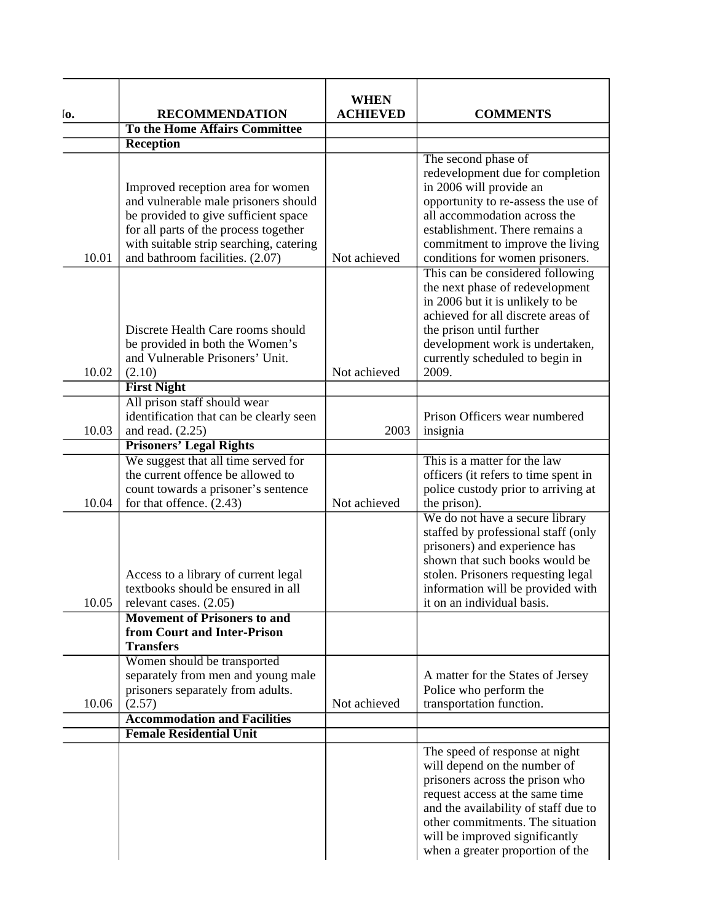| lо.   | <b>RECOMMENDATION</b>                                                                                                                                                                                                                    | <b>WHEN</b><br><b>ACHIEVED</b> | <b>COMMENTS</b>                                                                                                                                                                                                                                                                        |
|-------|------------------------------------------------------------------------------------------------------------------------------------------------------------------------------------------------------------------------------------------|--------------------------------|----------------------------------------------------------------------------------------------------------------------------------------------------------------------------------------------------------------------------------------------------------------------------------------|
|       | To the Home Affairs Committee                                                                                                                                                                                                            |                                |                                                                                                                                                                                                                                                                                        |
|       | Reception                                                                                                                                                                                                                                |                                |                                                                                                                                                                                                                                                                                        |
| 10.01 | Improved reception area for women<br>and vulnerable male prisoners should<br>be provided to give sufficient space<br>for all parts of the process together<br>with suitable strip searching, catering<br>and bathroom facilities. (2.07) | Not achieved                   | The second phase of<br>redevelopment due for completion<br>in 2006 will provide an<br>opportunity to re-assess the use of<br>all accommodation across the<br>establishment. There remains a<br>commitment to improve the living<br>conditions for women prisoners.                     |
| 10.02 | Discrete Health Care rooms should<br>be provided in both the Women's<br>and Vulnerable Prisoners' Unit.<br>(2.10)                                                                                                                        | Not achieved                   | This can be considered following<br>the next phase of redevelopment<br>in 2006 but it is unlikely to be<br>achieved for all discrete areas of<br>the prison until further<br>development work is undertaken,<br>currently scheduled to begin in<br>2009.                               |
|       | <b>First Night</b>                                                                                                                                                                                                                       |                                |                                                                                                                                                                                                                                                                                        |
| 10.03 | All prison staff should wear<br>identification that can be clearly seen<br>and read. $(2.25)$                                                                                                                                            | 2003                           | Prison Officers wear numbered<br>insignia                                                                                                                                                                                                                                              |
|       | <b>Prisoners' Legal Rights</b>                                                                                                                                                                                                           |                                |                                                                                                                                                                                                                                                                                        |
| 10.04 | We suggest that all time served for<br>the current offence be allowed to<br>count towards a prisoner's sentence<br>for that offence. (2.43)                                                                                              | Not achieved                   | This is a matter for the law<br>officers (it refers to time spent in<br>police custody prior to arriving at<br>the prison).                                                                                                                                                            |
| 10.05 | Access to a library of current legal<br>textbooks should be ensured in all<br>relevant cases. (2.05)                                                                                                                                     |                                | We do not have a secure library<br>staffed by professional staff (only<br>prisoners) and experience has<br>shown that such books would be<br>stolen. Prisoners requesting legal<br>information will be provided with<br>it on an individual basis.                                     |
|       | <b>Movement of Prisoners to and</b><br>from Court and Inter-Prison<br><b>Transfers</b>                                                                                                                                                   |                                |                                                                                                                                                                                                                                                                                        |
| 10.06 | Women should be transported<br>separately from men and young male<br>prisoners separately from adults.<br>(2.57)                                                                                                                         | Not achieved                   | A matter for the States of Jersey<br>Police who perform the<br>transportation function.                                                                                                                                                                                                |
|       | <b>Accommodation and Facilities</b>                                                                                                                                                                                                      |                                |                                                                                                                                                                                                                                                                                        |
|       | <b>Female Residential Unit</b>                                                                                                                                                                                                           |                                |                                                                                                                                                                                                                                                                                        |
|       |                                                                                                                                                                                                                                          |                                | The speed of response at night<br>will depend on the number of<br>prisoners across the prison who<br>request access at the same time<br>and the availability of staff due to<br>other commitments. The situation<br>will be improved significantly<br>when a greater proportion of the |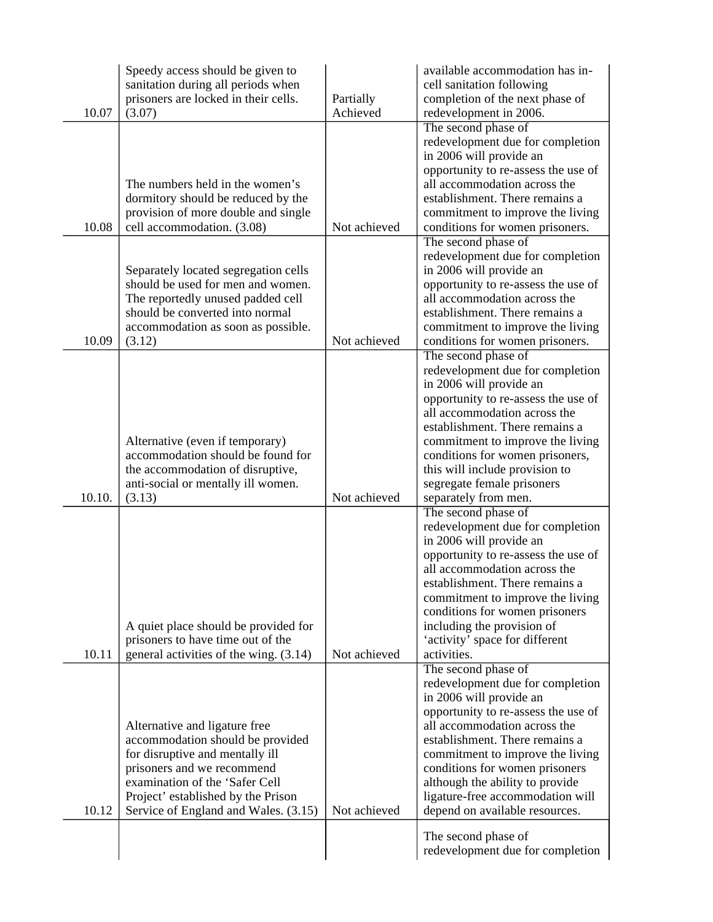|        | Speedy access should be given to<br>sanitation during all periods when     |                       | available accommodation has in-<br>cell sanitation following       |
|--------|----------------------------------------------------------------------------|-----------------------|--------------------------------------------------------------------|
| 10.07  | prisoners are locked in their cells.<br>(3.07)                             | Partially<br>Achieved | completion of the next phase of<br>redevelopment in 2006.          |
|        |                                                                            |                       | The second phase of                                                |
|        |                                                                            |                       | redevelopment due for completion<br>in 2006 will provide an        |
|        |                                                                            |                       | opportunity to re-assess the use of                                |
|        | The numbers held in the women's                                            |                       | all accommodation across the                                       |
|        | dormitory should be reduced by the<br>provision of more double and single  |                       | establishment. There remains a<br>commitment to improve the living |
| 10.08  | cell accommodation. (3.08)                                                 | Not achieved          | conditions for women prisoners.                                    |
|        |                                                                            |                       | The second phase of                                                |
|        | Separately located segregation cells                                       |                       | redevelopment due for completion<br>in 2006 will provide an        |
|        | should be used for men and women.                                          |                       | opportunity to re-assess the use of                                |
|        | The reportedly unused padded cell<br>should be converted into normal       |                       | all accommodation across the<br>establishment. There remains a     |
|        | accommodation as soon as possible.                                         |                       | commitment to improve the living                                   |
| 10.09  | (3.12)                                                                     | Not achieved          | conditions for women prisoners.                                    |
|        |                                                                            |                       | The second phase of<br>redevelopment due for completion            |
|        |                                                                            |                       | in 2006 will provide an                                            |
|        |                                                                            |                       | opportunity to re-assess the use of                                |
|        |                                                                            |                       | all accommodation across the<br>establishment. There remains a     |
|        | Alternative (even if temporary)                                            |                       | commitment to improve the living                                   |
|        | accommodation should be found for                                          |                       | conditions for women prisoners,                                    |
|        | the accommodation of disruptive,<br>anti-social or mentally ill women.     |                       | this will include provision to<br>segregate female prisoners       |
| 10.10. | (3.13)                                                                     | Not achieved          | separately from men.                                               |
|        |                                                                            |                       | The second phase of                                                |
|        |                                                                            |                       | redevelopment due for completion<br>in 2006 will provide an        |
|        |                                                                            |                       | opportunity to re-assess the use of                                |
|        |                                                                            |                       | all accommodation across the                                       |
|        |                                                                            |                       | establishment. There remains a<br>commitment to improve the living |
|        |                                                                            |                       | conditions for women prisoners                                     |
|        | A quiet place should be provided for<br>prisoners to have time out of the  |                       | including the provision of<br>'activity' space for different       |
| 10.11  | general activities of the wing. (3.14)                                     | Not achieved          | activities.                                                        |
|        |                                                                            |                       | The second phase of                                                |
|        |                                                                            |                       | redevelopment due for completion<br>in 2006 will provide an        |
|        |                                                                            |                       | opportunity to re-assess the use of                                |
|        | Alternative and ligature free                                              |                       | all accommodation across the                                       |
|        | accommodation should be provided<br>for disruptive and mentally ill        |                       | establishment. There remains a<br>commitment to improve the living |
|        | prisoners and we recommend                                                 |                       | conditions for women prisoners                                     |
|        | examination of the 'Safer Cell                                             |                       | although the ability to provide                                    |
| 10.12  | Project' established by the Prison<br>Service of England and Wales. (3.15) | Not achieved          | ligature-free accommodation will<br>depend on available resources. |
|        |                                                                            |                       |                                                                    |
|        |                                                                            |                       | The second phase of<br>redevelopment due for completion            |
|        |                                                                            |                       |                                                                    |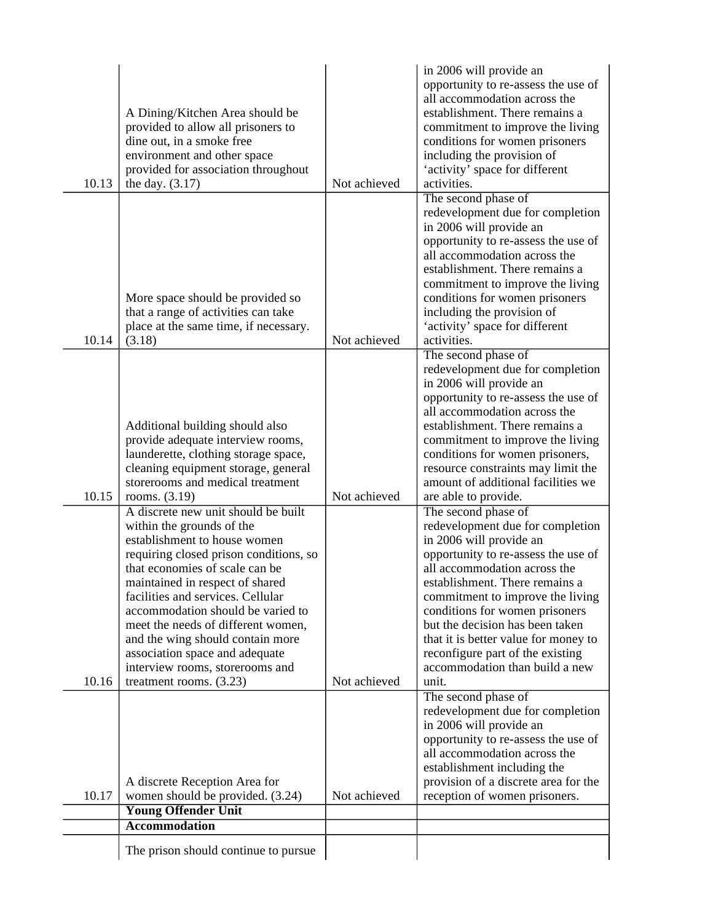| 10.13 | A Dining/Kitchen Area should be<br>provided to allow all prisoners to<br>dine out, in a smoke free<br>environment and other space<br>provided for association throughout<br>the day. $(3.17)$                                                                                                                                                                                                                                                                       | Not achieved | in 2006 will provide an<br>opportunity to re-assess the use of<br>all accommodation across the<br>establishment. There remains a<br>commitment to improve the living<br>conditions for women prisoners<br>including the provision of<br>'activity' space for different<br>activities.                                                                                                                                       |
|-------|---------------------------------------------------------------------------------------------------------------------------------------------------------------------------------------------------------------------------------------------------------------------------------------------------------------------------------------------------------------------------------------------------------------------------------------------------------------------|--------------|-----------------------------------------------------------------------------------------------------------------------------------------------------------------------------------------------------------------------------------------------------------------------------------------------------------------------------------------------------------------------------------------------------------------------------|
| 10.14 | More space should be provided so<br>that a range of activities can take<br>place at the same time, if necessary.<br>(3.18)                                                                                                                                                                                                                                                                                                                                          | Not achieved | The second phase of<br>redevelopment due for completion<br>in 2006 will provide an<br>opportunity to re-assess the use of<br>all accommodation across the<br>establishment. There remains a<br>commitment to improve the living<br>conditions for women prisoners<br>including the provision of<br>'activity' space for different<br>activities.                                                                            |
| 10.15 | Additional building should also<br>provide adequate interview rooms,<br>launderette, clothing storage space,<br>cleaning equipment storage, general<br>storerooms and medical treatment<br>rooms. (3.19)                                                                                                                                                                                                                                                            | Not achieved | The second phase of<br>redevelopment due for completion<br>in 2006 will provide an<br>opportunity to re-assess the use of<br>all accommodation across the<br>establishment. There remains a<br>commitment to improve the living<br>conditions for women prisoners,<br>resource constraints may limit the<br>amount of additional facilities we<br>are able to provide.                                                      |
| 10.16 | A discrete new unit should be built<br>within the grounds of the<br>establishment to house women<br>requiring closed prison conditions, so<br>that economies of scale can be<br>maintained in respect of shared<br>facilities and services. Cellular<br>accommodation should be varied to<br>meet the needs of different women,<br>and the wing should contain more<br>association space and adequate<br>interview rooms, storerooms and<br>treatment rooms. (3.23) | Not achieved | The second phase of<br>redevelopment due for completion<br>in 2006 will provide an<br>opportunity to re-assess the use of<br>all accommodation across the<br>establishment. There remains a<br>commitment to improve the living<br>conditions for women prisoners<br>but the decision has been taken<br>that it is better value for money to<br>reconfigure part of the existing<br>accommodation than build a new<br>unit. |
| 10.17 | A discrete Reception Area for<br>women should be provided. (3.24)<br><b>Young Offender Unit</b>                                                                                                                                                                                                                                                                                                                                                                     | Not achieved | The second phase of<br>redevelopment due for completion<br>in 2006 will provide an<br>opportunity to re-assess the use of<br>all accommodation across the<br>establishment including the<br>provision of a discrete area for the<br>reception of women prisoners.                                                                                                                                                           |
|       | <b>Accommodation</b>                                                                                                                                                                                                                                                                                                                                                                                                                                                |              |                                                                                                                                                                                                                                                                                                                                                                                                                             |
|       | The prison should continue to pursue                                                                                                                                                                                                                                                                                                                                                                                                                                |              |                                                                                                                                                                                                                                                                                                                                                                                                                             |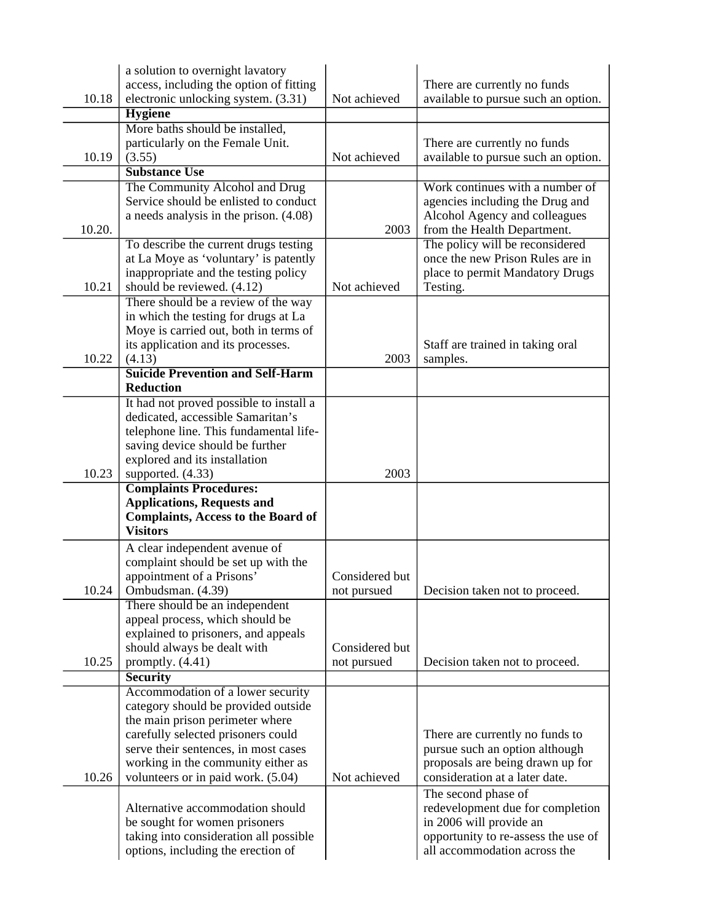|        | a solution to overnight lavatory                                             |                |                                                                     |
|--------|------------------------------------------------------------------------------|----------------|---------------------------------------------------------------------|
|        | access, including the option of fitting                                      | Not achieved   | There are currently no funds                                        |
| 10.18  | electronic unlocking system. (3.31)                                          |                | available to pursue such an option.                                 |
|        | <b>Hygiene</b>                                                               |                |                                                                     |
|        | More baths should be installed,                                              |                |                                                                     |
|        | particularly on the Female Unit.                                             |                | There are currently no funds                                        |
| 10.19  | (3.55)<br><b>Substance Use</b>                                               | Not achieved   | available to pursue such an option.                                 |
|        |                                                                              |                | Work continues with a number of                                     |
|        | The Community Alcohol and Drug<br>Service should be enlisted to conduct      |                |                                                                     |
|        | a needs analysis in the prison. (4.08)                                       |                | agencies including the Drug and<br>Alcohol Agency and colleagues    |
| 10.20. |                                                                              | 2003           | from the Health Department.                                         |
|        | To describe the current drugs testing                                        |                | The policy will be reconsidered                                     |
|        | at La Moye as 'voluntary' is patently                                        |                | once the new Prison Rules are in                                    |
|        | inappropriate and the testing policy                                         |                | place to permit Mandatory Drugs                                     |
| 10.21  | should be reviewed. (4.12)                                                   | Not achieved   | Testing.                                                            |
|        | There should be a review of the way                                          |                |                                                                     |
|        | in which the testing for drugs at La                                         |                |                                                                     |
|        | Moye is carried out, both in terms of                                        |                |                                                                     |
|        | its application and its processes.                                           |                | Staff are trained in taking oral                                    |
| 10.22  | (4.13)                                                                       | 2003           | samples.                                                            |
|        | <b>Suicide Prevention and Self-Harm</b>                                      |                |                                                                     |
|        | <b>Reduction</b>                                                             |                |                                                                     |
|        | It had not proved possible to install a                                      |                |                                                                     |
|        | dedicated, accessible Samaritan's                                            |                |                                                                     |
|        | telephone line. This fundamental life-                                       |                |                                                                     |
|        | saving device should be further<br>explored and its installation             |                |                                                                     |
| 10.23  | supported. (4.33)                                                            | 2003           |                                                                     |
|        | <b>Complaints Procedures:</b>                                                |                |                                                                     |
|        | <b>Applications, Requests and</b>                                            |                |                                                                     |
|        | <b>Complaints, Access to the Board of</b>                                    |                |                                                                     |
|        | <b>Visitors</b>                                                              |                |                                                                     |
|        | A clear independent avenue of                                                |                |                                                                     |
|        | complaint should be set up with the                                          |                |                                                                     |
|        | appointment of a Prisons'                                                    | Considered but |                                                                     |
| 10.24  | Ombudsman. (4.39)                                                            | not pursued    | Decision taken not to proceed.                                      |
|        | There should be an independent                                               |                |                                                                     |
|        | appeal process, which should be                                              |                |                                                                     |
|        | explained to prisoners, and appeals                                          |                |                                                                     |
| 10.25  | should always be dealt with                                                  | Considered but |                                                                     |
|        | promptly. $(4.41)$<br><b>Security</b>                                        | not pursued    | Decision taken not to proceed.                                      |
|        | Accommodation of a lower security                                            |                |                                                                     |
|        | category should be provided outside                                          |                |                                                                     |
|        | the main prison perimeter where                                              |                |                                                                     |
|        | carefully selected prisoners could                                           |                | There are currently no funds to                                     |
|        | serve their sentences, in most cases                                         |                | pursue such an option although                                      |
|        | working in the community either as                                           |                | proposals are being drawn up for                                    |
| 10.26  | volunteers or in paid work. (5.04)                                           | Not achieved   | consideration at a later date.                                      |
|        |                                                                              |                | The second phase of                                                 |
|        |                                                                              |                |                                                                     |
|        | Alternative accommodation should                                             |                | redevelopment due for completion                                    |
|        | be sought for women prisoners                                                |                | in 2006 will provide an                                             |
|        | taking into consideration all possible<br>options, including the erection of |                | opportunity to re-assess the use of<br>all accommodation across the |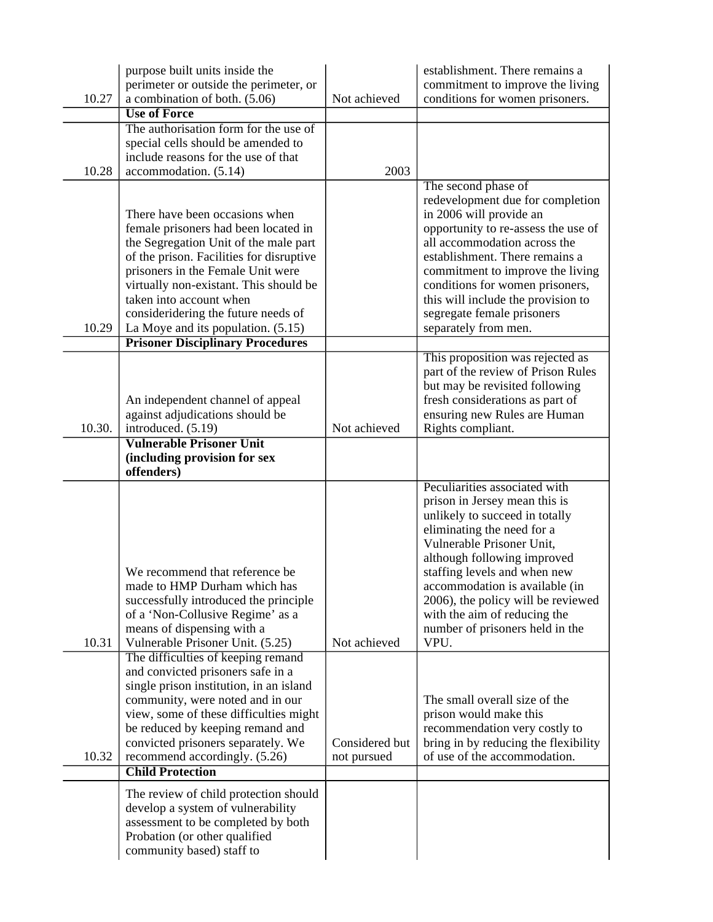|        | purpose built units inside the<br>perimeter or outside the perimeter, or                                                                                                                                                                                                                                                                                                                        |                               | establishment. There remains a<br>commitment to improve the living                                                                                                                                                                                                                                                                                                            |
|--------|-------------------------------------------------------------------------------------------------------------------------------------------------------------------------------------------------------------------------------------------------------------------------------------------------------------------------------------------------------------------------------------------------|-------------------------------|-------------------------------------------------------------------------------------------------------------------------------------------------------------------------------------------------------------------------------------------------------------------------------------------------------------------------------------------------------------------------------|
| 10.27  | a combination of both. (5.06)                                                                                                                                                                                                                                                                                                                                                                   | Not achieved                  | conditions for women prisoners.                                                                                                                                                                                                                                                                                                                                               |
|        | <b>Use of Force</b>                                                                                                                                                                                                                                                                                                                                                                             |                               |                                                                                                                                                                                                                                                                                                                                                                               |
|        | The authorisation form for the use of                                                                                                                                                                                                                                                                                                                                                           |                               |                                                                                                                                                                                                                                                                                                                                                                               |
|        | special cells should be amended to<br>include reasons for the use of that                                                                                                                                                                                                                                                                                                                       |                               |                                                                                                                                                                                                                                                                                                                                                                               |
| 10.28  | accommodation. (5.14)                                                                                                                                                                                                                                                                                                                                                                           | 2003                          |                                                                                                                                                                                                                                                                                                                                                                               |
|        |                                                                                                                                                                                                                                                                                                                                                                                                 |                               | The second phase of                                                                                                                                                                                                                                                                                                                                                           |
| 10.29  | There have been occasions when<br>female prisoners had been located in<br>the Segregation Unit of the male part<br>of the prison. Facilities for disruptive<br>prisoners in the Female Unit were<br>virtually non-existant. This should be<br>taken into account when<br>consideridering the future needs of<br>La Moye and its population. $(5.15)$<br><b>Prisoner Disciplinary Procedures</b> |                               | redevelopment due for completion<br>in 2006 will provide an<br>opportunity to re-assess the use of<br>all accommodation across the<br>establishment. There remains a<br>commitment to improve the living<br>conditions for women prisoners,<br>this will include the provision to<br>segregate female prisoners<br>separately from men.                                       |
|        |                                                                                                                                                                                                                                                                                                                                                                                                 |                               | This proposition was rejected as                                                                                                                                                                                                                                                                                                                                              |
| 10.30. | An independent channel of appeal<br>against adjudications should be<br>introduced. (5.19)                                                                                                                                                                                                                                                                                                       | Not achieved                  | part of the review of Prison Rules<br>but may be revisited following<br>fresh considerations as part of<br>ensuring new Rules are Human<br>Rights compliant.                                                                                                                                                                                                                  |
|        | <b>Vulnerable Prisoner Unit</b><br>(including provision for sex<br>offenders)                                                                                                                                                                                                                                                                                                                   |                               |                                                                                                                                                                                                                                                                                                                                                                               |
| 10.31  | We recommend that reference be.<br>made to HMP Durham which has<br>successfully introduced the principle<br>of a 'Non-Collusive Regime' as a<br>means of dispensing with a<br>Vulnerable Prisoner Unit. (5.25)                                                                                                                                                                                  | Not achieved                  | Peculiarities associated with<br>prison in Jersey mean this is<br>unlikely to succeed in totally<br>eliminating the need for a<br>Vulnerable Prisoner Unit,<br>although following improved<br>staffing levels and when new<br>accommodation is available (in<br>2006), the policy will be reviewed<br>with the aim of reducing the<br>number of prisoners held in the<br>VPU. |
|        | The difficulties of keeping remand<br>and convicted prisoners safe in a<br>single prison institution, in an island<br>community, were noted and in our<br>view, some of these difficulties might                                                                                                                                                                                                |                               | The small overall size of the<br>prison would make this                                                                                                                                                                                                                                                                                                                       |
| 10.32  | be reduced by keeping remand and<br>convicted prisoners separately. We<br>recommend accordingly. (5.26)<br><b>Child Protection</b>                                                                                                                                                                                                                                                              | Considered but<br>not pursued | recommendation very costly to<br>bring in by reducing the flexibility<br>of use of the accommodation.                                                                                                                                                                                                                                                                         |
|        | The review of child protection should<br>develop a system of vulnerability<br>assessment to be completed by both<br>Probation (or other qualified<br>community based) staff to                                                                                                                                                                                                                  |                               |                                                                                                                                                                                                                                                                                                                                                                               |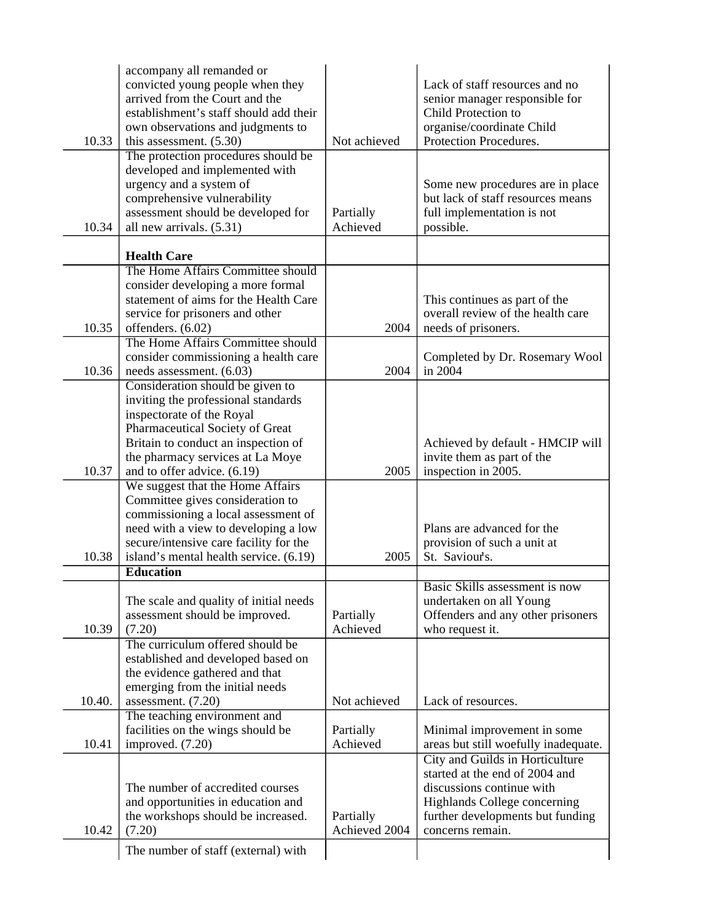|        | accompany all remanded or                                          |               |                                                                  |
|--------|--------------------------------------------------------------------|---------------|------------------------------------------------------------------|
|        | convicted young people when they<br>arrived from the Court and the |               | Lack of staff resources and no<br>senior manager responsible for |
|        | establishment's staff should add their                             |               | Child Protection to                                              |
|        | own observations and judgments to                                  |               | organise/coordinate Child                                        |
| 10.33  | this assessment. $(5.30)$                                          | Not achieved  | Protection Procedures.                                           |
|        | The protection procedures should be                                |               |                                                                  |
|        | developed and implemented with                                     |               |                                                                  |
|        | urgency and a system of                                            |               | Some new procedures are in place                                 |
|        | comprehensive vulnerability                                        |               | but lack of staff resources means                                |
|        | assessment should be developed for                                 | Partially     | full implementation is not                                       |
| 10.34  | all new arrivals. (5.31)                                           | Achieved      | possible.                                                        |
|        | <b>Health Care</b>                                                 |               |                                                                  |
|        | The Home Affairs Committee should                                  |               |                                                                  |
|        | consider developing a more formal                                  |               |                                                                  |
|        | statement of aims for the Health Care                              |               | This continues as part of the                                    |
|        | service for prisoners and other                                    |               | overall review of the health care                                |
| 10.35  | offenders. (6.02)                                                  | 2004          | needs of prisoners.                                              |
|        | The Home Affairs Committee should                                  |               |                                                                  |
|        | consider commissioning a health care                               |               | Completed by Dr. Rosemary Wool                                   |
| 10.36  | needs assessment. (6.03)                                           | 2004          | in 2004                                                          |
|        | Consideration should be given to                                   |               |                                                                  |
|        | inviting the professional standards                                |               |                                                                  |
|        | inspectorate of the Royal                                          |               |                                                                  |
|        | Pharmaceutical Society of Great                                    |               |                                                                  |
|        | Britain to conduct an inspection of                                |               | Achieved by default - HMCIP will                                 |
| 10.37  | the pharmacy services at La Moye                                   | 2005          | invite them as part of the                                       |
|        | and to offer advice. (6.19)<br>We suggest that the Home Affairs    |               | inspection in 2005.                                              |
|        | Committee gives consideration to                                   |               |                                                                  |
|        | commissioning a local assessment of                                |               |                                                                  |
|        | need with a view to developing a low                               |               | Plans are advanced for the                                       |
|        | secure/intensive care facility for the                             |               | provision of such a unit at                                      |
| 10.38  | island's mental health service. (6.19)                             | 2005          | St. Saviour's.                                                   |
|        | <b>Education</b>                                                   |               |                                                                  |
|        |                                                                    |               | Basic Skills assessment is now                                   |
|        | The scale and quality of initial needs                             |               | undertaken on all Young                                          |
|        | assessment should be improved.                                     | Partially     | Offenders and any other prisoners                                |
| 10.39  | (7.20)                                                             | Achieved      | who request it.                                                  |
|        | The curriculum offered should be                                   |               |                                                                  |
|        | established and developed based on                                 |               |                                                                  |
|        | the evidence gathered and that                                     |               |                                                                  |
|        | emerging from the initial needs                                    | Not achieved  | Lack of resources.                                               |
| 10.40. | assessment. (7.20)                                                 |               |                                                                  |
|        | The teaching environment and<br>facilities on the wings should be  | Partially     | Minimal improvement in some                                      |
| 10.41  | improved. (7.20)                                                   | Achieved      | areas but still woefully inadequate.                             |
|        |                                                                    |               | City and Guilds in Horticulture                                  |
|        |                                                                    |               | started at the end of 2004 and                                   |
|        | The number of accredited courses                                   |               | discussions continue with                                        |
|        | and opportunities in education and                                 |               | Highlands College concerning                                     |
|        | the workshops should be increased.                                 | Partially     | further developments but funding                                 |
| 10.42  | (7.20)                                                             | Achieved 2004 | concerns remain.                                                 |
|        | The number of staff (external) with                                |               |                                                                  |
|        |                                                                    |               |                                                                  |
|        |                                                                    |               |                                                                  |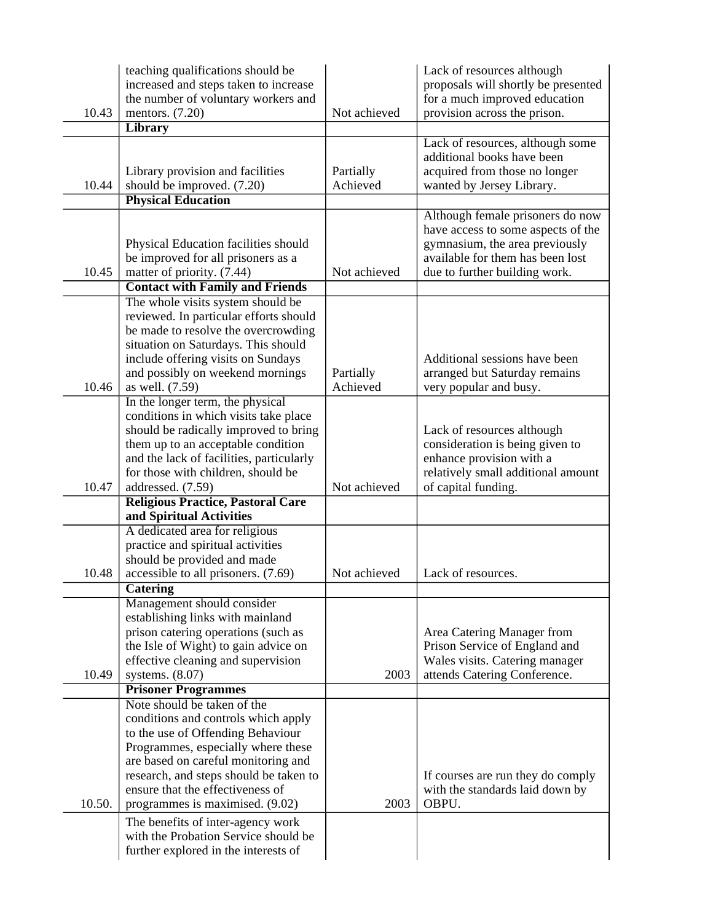|        | teaching qualifications should be<br>increased and steps taken to increase<br>the number of voluntary workers and |              | Lack of resources although<br>proposals will shortly be presented<br>for a much improved education |
|--------|-------------------------------------------------------------------------------------------------------------------|--------------|----------------------------------------------------------------------------------------------------|
| 10.43  | mentors. $(7.20)$                                                                                                 | Not achieved | provision across the prison.                                                                       |
|        | <b>Library</b>                                                                                                    |              | Lack of resources, although some                                                                   |
|        |                                                                                                                   |              | additional books have been                                                                         |
|        | Library provision and facilities                                                                                  | Partially    | acquired from those no longer                                                                      |
| 10.44  | should be improved. (7.20)                                                                                        | Achieved     | wanted by Jersey Library.                                                                          |
|        | <b>Physical Education</b>                                                                                         |              |                                                                                                    |
|        |                                                                                                                   |              | Although female prisoners do now                                                                   |
|        |                                                                                                                   |              | have access to some aspects of the                                                                 |
|        | Physical Education facilities should                                                                              |              | gymnasium, the area previously                                                                     |
|        | be improved for all prisoners as a                                                                                |              | available for them has been lost                                                                   |
| 10.45  | matter of priority. (7.44)                                                                                        | Not achieved | due to further building work.                                                                      |
|        | <b>Contact with Family and Friends</b>                                                                            |              |                                                                                                    |
|        | The whole visits system should be                                                                                 |              |                                                                                                    |
|        | reviewed. In particular efforts should                                                                            |              |                                                                                                    |
|        | be made to resolve the overcrowding                                                                               |              |                                                                                                    |
|        | situation on Saturdays. This should                                                                               |              |                                                                                                    |
|        | include offering visits on Sundays                                                                                |              | Additional sessions have been                                                                      |
|        | and possibly on weekend mornings                                                                                  | Partially    | arranged but Saturday remains                                                                      |
| 10.46  | as well. (7.59)                                                                                                   | Achieved     | very popular and busy.                                                                             |
|        | In the longer term, the physical                                                                                  |              |                                                                                                    |
|        | conditions in which visits take place                                                                             |              |                                                                                                    |
|        | should be radically improved to bring                                                                             |              | Lack of resources although                                                                         |
|        | them up to an acceptable condition                                                                                |              | consideration is being given to                                                                    |
|        | and the lack of facilities, particularly                                                                          |              | enhance provision with a                                                                           |
| 10.47  | for those with children, should be<br>addressed. (7.59)                                                           | Not achieved | relatively small additional amount<br>of capital funding.                                          |
|        | <b>Religious Practice, Pastoral Care</b>                                                                          |              |                                                                                                    |
|        | and Spiritual Activities                                                                                          |              |                                                                                                    |
|        | A dedicated area for religious                                                                                    |              |                                                                                                    |
|        | practice and spiritual activities                                                                                 |              |                                                                                                    |
|        | should be provided and made                                                                                       |              |                                                                                                    |
| 10.48  | accessible to all prisoners. (7.69)                                                                               | Not achieved | Lack of resources.                                                                                 |
|        | <b>Catering</b>                                                                                                   |              |                                                                                                    |
|        | Management should consider                                                                                        |              |                                                                                                    |
|        | establishing links with mainland                                                                                  |              |                                                                                                    |
|        | prison catering operations (such as                                                                               |              | Area Catering Manager from                                                                         |
|        | the Isle of Wight) to gain advice on                                                                              |              | Prison Service of England and                                                                      |
|        | effective cleaning and supervision                                                                                |              | Wales visits. Catering manager                                                                     |
| 10.49  | systems. $(8.07)$                                                                                                 | 2003         | attends Catering Conference.                                                                       |
|        | <b>Prisoner Programmes</b>                                                                                        |              |                                                                                                    |
|        | Note should be taken of the                                                                                       |              |                                                                                                    |
|        | conditions and controls which apply                                                                               |              |                                                                                                    |
|        | to the use of Offending Behaviour                                                                                 |              |                                                                                                    |
|        | Programmes, especially where these<br>are based on careful monitoring and                                         |              |                                                                                                    |
|        | research, and steps should be taken to                                                                            |              | If courses are run they do comply                                                                  |
|        | ensure that the effectiveness of                                                                                  |              | with the standards laid down by                                                                    |
| 10.50. | programmes is maximised. (9.02)                                                                                   | 2003         | OBPU.                                                                                              |
|        | The benefits of inter-agency work                                                                                 |              |                                                                                                    |
|        | with the Probation Service should be                                                                              |              |                                                                                                    |
|        | further explored in the interests of                                                                              |              |                                                                                                    |
|        |                                                                                                                   |              |                                                                                                    |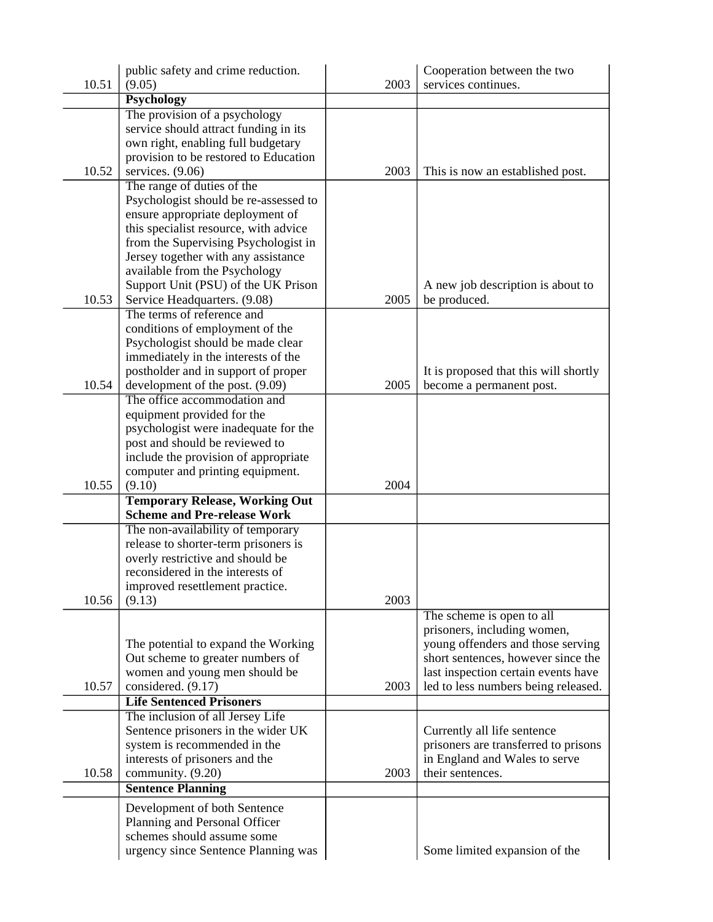|       | public safety and crime reduction.                          |      | Cooperation between the two                                      |
|-------|-------------------------------------------------------------|------|------------------------------------------------------------------|
| 10.51 | (9.05)                                                      | 2003 | services continues.                                              |
|       | <b>Psychology</b>                                           |      |                                                                  |
|       | The provision of a psychology                               |      |                                                                  |
|       | service should attract funding in its                       |      |                                                                  |
|       | own right, enabling full budgetary                          |      |                                                                  |
| 10.52 | provision to be restored to Education<br>services. $(9.06)$ | 2003 |                                                                  |
|       | The range of duties of the                                  |      | This is now an established post.                                 |
|       | Psychologist should be re-assessed to                       |      |                                                                  |
|       | ensure appropriate deployment of                            |      |                                                                  |
|       | this specialist resource, with advice                       |      |                                                                  |
|       | from the Supervising Psychologist in                        |      |                                                                  |
|       | Jersey together with any assistance                         |      |                                                                  |
|       | available from the Psychology                               |      |                                                                  |
|       | Support Unit (PSU) of the UK Prison                         |      | A new job description is about to                                |
| 10.53 | Service Headquarters. (9.08)                                | 2005 | be produced.                                                     |
|       | The terms of reference and                                  |      |                                                                  |
|       | conditions of employment of the                             |      |                                                                  |
|       | Psychologist should be made clear                           |      |                                                                  |
|       | immediately in the interests of the                         |      |                                                                  |
|       | postholder and in support of proper                         |      | It is proposed that this will shortly                            |
| 10.54 | development of the post. (9.09)                             | 2005 | become a permanent post.                                         |
|       | The office accommodation and                                |      |                                                                  |
|       | equipment provided for the                                  |      |                                                                  |
|       | psychologist were inadequate for the                        |      |                                                                  |
|       | post and should be reviewed to                              |      |                                                                  |
|       | include the provision of appropriate                        |      |                                                                  |
| 10.55 | computer and printing equipment.<br>(9.10)                  | 2004 |                                                                  |
|       | <b>Temporary Release, Working Out</b>                       |      |                                                                  |
|       | <b>Scheme and Pre-release Work</b>                          |      |                                                                  |
|       | The non-availability of temporary                           |      |                                                                  |
|       | release to shorter-term prisoners is                        |      |                                                                  |
|       | overly restrictive and should be                            |      |                                                                  |
|       | reconsidered in the interests of                            |      |                                                                  |
|       | improved resettlement practice.                             |      |                                                                  |
| 10.56 | (9.13)                                                      | 2003 |                                                                  |
|       |                                                             |      | The scheme is open to all                                        |
|       | The potential to expand the Working                         |      | prisoners, including women,<br>young offenders and those serving |
|       | Out scheme to greater numbers of                            |      | short sentences, however since the                               |
|       | women and young men should be                               |      | last inspection certain events have                              |
| 10.57 | considered. (9.17)                                          | 2003 | led to less numbers being released.                              |
|       | <b>Life Sentenced Prisoners</b>                             |      |                                                                  |
|       | The inclusion of all Jersey Life                            |      |                                                                  |
|       | Sentence prisoners in the wider UK                          |      | Currently all life sentence                                      |
|       | system is recommended in the                                |      | prisoners are transferred to prisons                             |
|       | interests of prisoners and the                              |      | in England and Wales to serve                                    |
| 10.58 | community. (9.20)                                           | 2003 | their sentences.                                                 |
|       | <b>Sentence Planning</b>                                    |      |                                                                  |
|       | Development of both Sentence                                |      |                                                                  |
|       | Planning and Personal Officer                               |      |                                                                  |
|       | schemes should assume some                                  |      |                                                                  |
|       | urgency since Sentence Planning was                         |      | Some limited expansion of the                                    |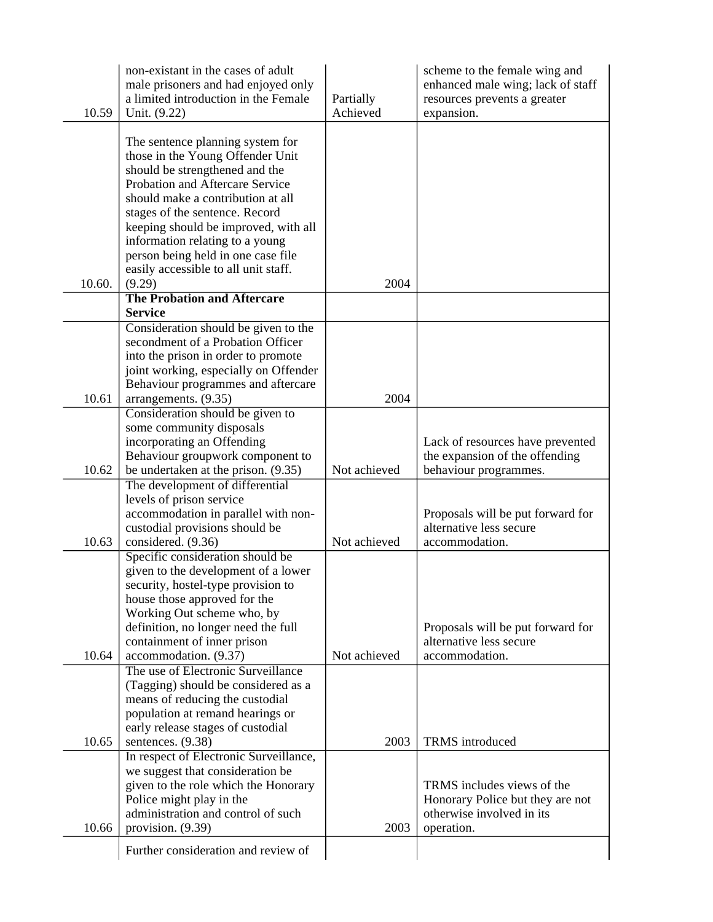| 10.59  | non-existant in the cases of adult<br>male prisoners and had enjoyed only<br>a limited introduction in the Female<br>Unit. (9.22)         | Partially<br>Achieved | scheme to the female wing and<br>enhanced male wing; lack of staff<br>resources prevents a greater<br>expansion. |
|--------|-------------------------------------------------------------------------------------------------------------------------------------------|-----------------------|------------------------------------------------------------------------------------------------------------------|
|        | The sentence planning system for<br>those in the Young Offender Unit<br>should be strengthened and the<br>Probation and Aftercare Service |                       |                                                                                                                  |
|        | should make a contribution at all<br>stages of the sentence. Record<br>keeping should be improved, with all                               |                       |                                                                                                                  |
|        | information relating to a young<br>person being held in one case file<br>easily accessible to all unit staff.                             |                       |                                                                                                                  |
| 10.60. | (9.29)                                                                                                                                    | 2004                  |                                                                                                                  |
|        | <b>The Probation and Aftercare</b>                                                                                                        |                       |                                                                                                                  |
|        | <b>Service</b>                                                                                                                            |                       |                                                                                                                  |
|        | Consideration should be given to the                                                                                                      |                       |                                                                                                                  |
|        | secondment of a Probation Officer                                                                                                         |                       |                                                                                                                  |
|        | into the prison in order to promote                                                                                                       |                       |                                                                                                                  |
|        | joint working, especially on Offender<br>Behaviour programmes and aftercare                                                               |                       |                                                                                                                  |
| 10.61  | arrangements. (9.35)                                                                                                                      | 2004                  |                                                                                                                  |
|        | Consideration should be given to                                                                                                          |                       |                                                                                                                  |
|        | some community disposals                                                                                                                  |                       |                                                                                                                  |
|        | incorporating an Offending                                                                                                                |                       | Lack of resources have prevented                                                                                 |
|        | Behaviour groupwork component to                                                                                                          |                       | the expansion of the offending                                                                                   |
| 10.62  | be undertaken at the prison. (9.35)                                                                                                       | Not achieved          | behaviour programmes.                                                                                            |
|        | The development of differential                                                                                                           |                       |                                                                                                                  |
|        | levels of prison service                                                                                                                  |                       |                                                                                                                  |
|        | accommodation in parallel with non-                                                                                                       |                       | Proposals will be put forward for                                                                                |
|        | custodial provisions should be                                                                                                            |                       | alternative less secure                                                                                          |
| 10.63  | considered. (9.36)                                                                                                                        | Not achieved          | accommodation.                                                                                                   |
|        | Specific consideration should be<br>given to the development of a lower                                                                   |                       |                                                                                                                  |
|        | security, hostel-type provision to                                                                                                        |                       |                                                                                                                  |
|        | house those approved for the                                                                                                              |                       |                                                                                                                  |
|        | Working Out scheme who, by                                                                                                                |                       |                                                                                                                  |
|        | definition, no longer need the full                                                                                                       |                       | Proposals will be put forward for                                                                                |
|        | containment of inner prison                                                                                                               |                       | alternative less secure                                                                                          |
| 10.64  | accommodation. (9.37)                                                                                                                     | Not achieved          | accommodation.                                                                                                   |
|        | The use of Electronic Surveillance                                                                                                        |                       |                                                                                                                  |
|        | (Tagging) should be considered as a                                                                                                       |                       |                                                                                                                  |
|        | means of reducing the custodial<br>population at remand hearings or                                                                       |                       |                                                                                                                  |
|        | early release stages of custodial                                                                                                         |                       |                                                                                                                  |
| 10.65  | sentences. (9.38)                                                                                                                         | 2003                  | TRMS introduced                                                                                                  |
|        | In respect of Electronic Surveillance,                                                                                                    |                       |                                                                                                                  |
|        | we suggest that consideration be                                                                                                          |                       |                                                                                                                  |
|        | given to the role which the Honorary                                                                                                      |                       | TRMS includes views of the                                                                                       |
|        | Police might play in the                                                                                                                  |                       | Honorary Police but they are not                                                                                 |
|        | administration and control of such                                                                                                        |                       | otherwise involved in its                                                                                        |
| 10.66  | provision. (9.39)                                                                                                                         | 2003                  | operation.                                                                                                       |
|        | Further consideration and review of                                                                                                       |                       |                                                                                                                  |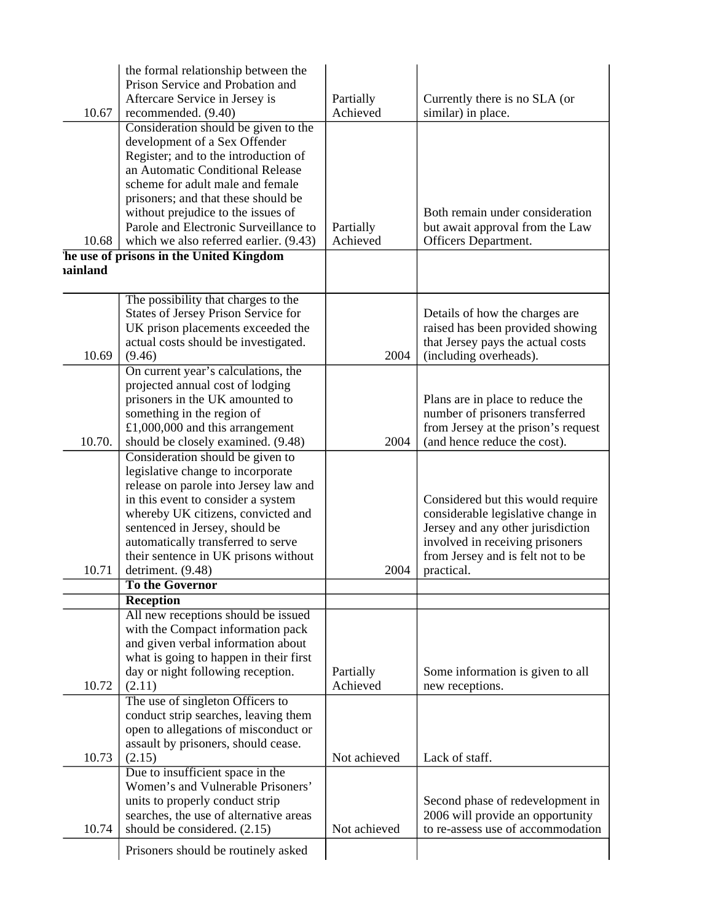|                | the formal relationship between the                                       |              |                                                                         |
|----------------|---------------------------------------------------------------------------|--------------|-------------------------------------------------------------------------|
|                | Prison Service and Probation and                                          |              |                                                                         |
|                | Aftercare Service in Jersey is                                            | Partially    | Currently there is no SLA (or                                           |
| 10.67          | recommended. (9.40)                                                       | Achieved     | similar) in place.                                                      |
|                | Consideration should be given to the                                      |              |                                                                         |
|                | development of a Sex Offender                                             |              |                                                                         |
|                | Register; and to the introduction of                                      |              |                                                                         |
|                | an Automatic Conditional Release                                          |              |                                                                         |
|                | scheme for adult male and female                                          |              |                                                                         |
|                | prisoners; and that these should be<br>without prejudice to the issues of |              | Both remain under consideration                                         |
|                | Parole and Electronic Surveillance to                                     | Partially    | but await approval from the Law                                         |
| 10.68          | which we also referred earlier. (9.43)                                    | Achieved     | Officers Department.                                                    |
|                | he use of prisons in the United Kingdom                                   |              |                                                                         |
| <b>ainland</b> |                                                                           |              |                                                                         |
|                |                                                                           |              |                                                                         |
|                | The possibility that charges to the                                       |              |                                                                         |
|                | States of Jersey Prison Service for                                       |              | Details of how the charges are                                          |
|                | UK prison placements exceeded the                                         |              | raised has been provided showing                                        |
|                | actual costs should be investigated.                                      |              | that Jersey pays the actual costs                                       |
| 10.69          | (9.46)                                                                    | 2004         | (including overheads).                                                  |
|                | On current year's calculations, the                                       |              |                                                                         |
|                | projected annual cost of lodging                                          |              |                                                                         |
|                | prisoners in the UK amounted to                                           |              | Plans are in place to reduce the                                        |
|                | something in the region of                                                |              | number of prisoners transferred                                         |
|                | £1,000,000 and this arrangement                                           |              | from Jersey at the prison's request                                     |
| 10.70.         | should be closely examined. (9.48)                                        | 2004         | (and hence reduce the cost).                                            |
|                | Consideration should be given to                                          |              |                                                                         |
|                | legislative change to incorporate                                         |              |                                                                         |
|                | release on parole into Jersey law and                                     |              |                                                                         |
|                | in this event to consider a system<br>whereby UK citizens, convicted and  |              | Considered but this would require<br>considerable legislative change in |
|                | sentenced in Jersey, should be                                            |              | Jersey and any other jurisdiction                                       |
|                | automatically transferred to serve                                        |              | involved in receiving prisoners                                         |
|                | their sentence in UK prisons without                                      |              | from Jersey and is felt not to be                                       |
| 10.71          | detriment. (9.48)                                                         | 2004         | practical.                                                              |
|                | To the Governor                                                           |              |                                                                         |
|                | <b>Reception</b>                                                          |              |                                                                         |
|                | All new receptions should be issued                                       |              |                                                                         |
|                | with the Compact information pack                                         |              |                                                                         |
|                | and given verbal information about                                        |              |                                                                         |
|                | what is going to happen in their first                                    |              |                                                                         |
|                | day or night following reception.                                         | Partially    | Some information is given to all                                        |
| 10.72          | (2.11)                                                                    | Achieved     | new receptions.                                                         |
|                | The use of singleton Officers to                                          |              |                                                                         |
|                | conduct strip searches, leaving them                                      |              |                                                                         |
|                | open to allegations of misconduct or                                      |              |                                                                         |
|                | assault by prisoners, should cease.                                       |              |                                                                         |
| 10.73          | (2.15)                                                                    | Not achieved | Lack of staff.                                                          |
|                | Due to insufficient space in the                                          |              |                                                                         |
|                | Women's and Vulnerable Prisoners'                                         |              |                                                                         |
|                | units to properly conduct strip                                           |              | Second phase of redevelopment in                                        |
|                | searches, the use of alternative areas                                    |              | 2006 will provide an opportunity                                        |
| 10.74          | should be considered. (2.15)                                              | Not achieved | to re-assess use of accommodation                                       |
|                | Prisoners should be routinely asked                                       |              |                                                                         |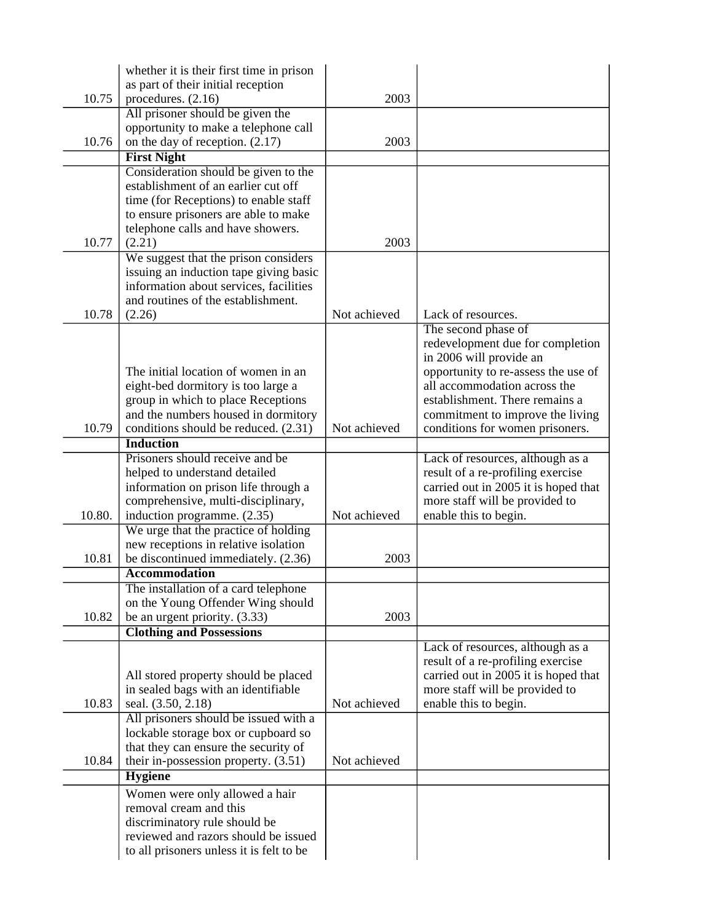|        | whether it is their first time in prison<br>as part of their initial reception                                                                               |              |                                                                     |
|--------|--------------------------------------------------------------------------------------------------------------------------------------------------------------|--------------|---------------------------------------------------------------------|
| 10.75  | procedures. (2.16)                                                                                                                                           | 2003         |                                                                     |
|        | All prisoner should be given the                                                                                                                             |              |                                                                     |
|        | opportunity to make a telephone call                                                                                                                         |              |                                                                     |
| 10.76  | on the day of reception. $(2.17)$                                                                                                                            | 2003         |                                                                     |
|        | <b>First Night</b>                                                                                                                                           |              |                                                                     |
|        | Consideration should be given to the<br>establishment of an earlier cut off<br>time (for Receptions) to enable staff<br>to ensure prisoners are able to make |              |                                                                     |
| 10.77  | telephone calls and have showers.<br>(2.21)                                                                                                                  | 2003         |                                                                     |
|        | We suggest that the prison considers                                                                                                                         |              |                                                                     |
| 10.78  | issuing an induction tape giving basic<br>information about services, facilities<br>and routines of the establishment.<br>(2.26)                             | Not achieved | Lack of resources.                                                  |
|        |                                                                                                                                                              |              | The second phase of                                                 |
|        |                                                                                                                                                              |              | redevelopment due for completion                                    |
|        |                                                                                                                                                              |              | in 2006 will provide an                                             |
|        | The initial location of women in an                                                                                                                          |              | opportunity to re-assess the use of                                 |
|        | eight-bed dormitory is too large a                                                                                                                           |              | all accommodation across the                                        |
|        | group in which to place Receptions                                                                                                                           |              | establishment. There remains a                                      |
| 10.79  | and the numbers housed in dormitory<br>conditions should be reduced. (2.31)                                                                                  | Not achieved | commitment to improve the living<br>conditions for women prisoners. |
|        | <b>Induction</b>                                                                                                                                             |              |                                                                     |
|        | Prisoners should receive and be                                                                                                                              |              | Lack of resources, although as a                                    |
|        | helped to understand detailed                                                                                                                                |              | result of a re-profiling exercise                                   |
|        | information on prison life through a                                                                                                                         |              | carried out in 2005 it is hoped that                                |
|        | comprehensive, multi-disciplinary,                                                                                                                           |              | more staff will be provided to                                      |
| 10.80. | induction programme. (2.35)                                                                                                                                  | Not achieved | enable this to begin.                                               |
|        | We urge that the practice of holding                                                                                                                         |              |                                                                     |
| 10.81  | new receptions in relative isolation<br>be discontinued immediately. (2.36)                                                                                  | 2003         |                                                                     |
|        | <b>Accommodation</b>                                                                                                                                         |              |                                                                     |
|        | The installation of a card telephone                                                                                                                         |              |                                                                     |
|        | on the Young Offender Wing should                                                                                                                            |              |                                                                     |
| 10.82  | be an urgent priority. (3.33)                                                                                                                                | 2003         |                                                                     |
|        | <b>Clothing and Possessions</b>                                                                                                                              |              |                                                                     |
|        |                                                                                                                                                              |              | Lack of resources, although as a                                    |
|        |                                                                                                                                                              |              | result of a re-profiling exercise                                   |
|        | All stored property should be placed                                                                                                                         |              | carried out in 2005 it is hoped that                                |
| 10.83  | in sealed bags with an identifiable<br>seal. (3.50, 2.18)                                                                                                    | Not achieved | more staff will be provided to<br>enable this to begin.             |
|        | All prisoners should be issued with a                                                                                                                        |              |                                                                     |
|        | lockable storage box or cupboard so                                                                                                                          |              |                                                                     |
|        | that they can ensure the security of                                                                                                                         |              |                                                                     |
| 10.84  | their in-possession property. $(3.51)$                                                                                                                       | Not achieved |                                                                     |
|        | <b>Hygiene</b>                                                                                                                                               |              |                                                                     |
|        | Women were only allowed a hair                                                                                                                               |              |                                                                     |
|        | removal cream and this                                                                                                                                       |              |                                                                     |
|        | discriminatory rule should be                                                                                                                                |              |                                                                     |
|        | reviewed and razors should be issued                                                                                                                         |              |                                                                     |
|        | to all prisoners unless it is felt to be                                                                                                                     |              |                                                                     |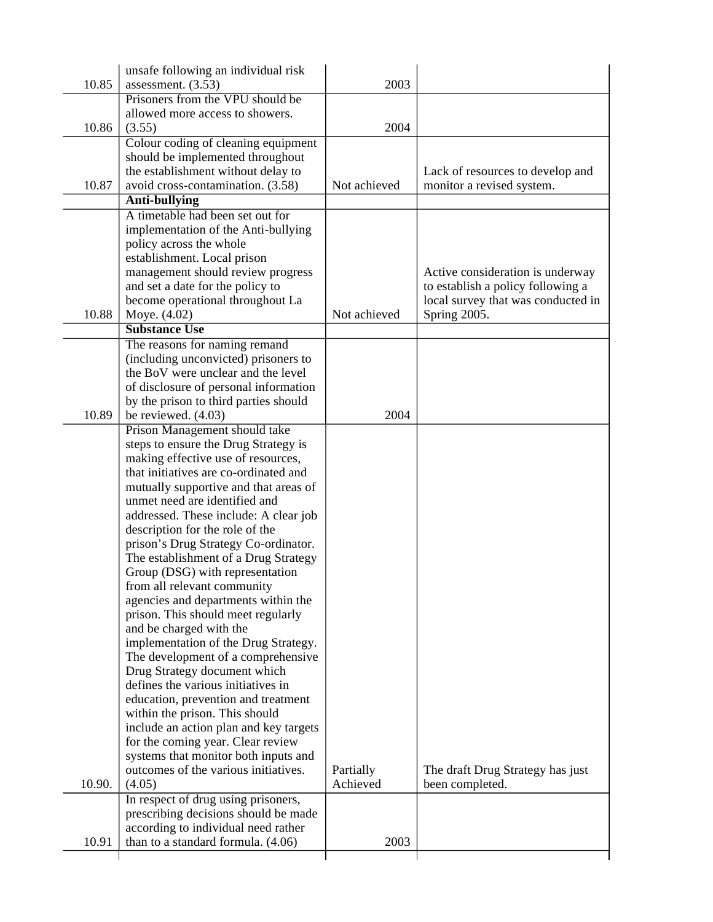|        | unsafe following an individual risk                                        |              |                                    |
|--------|----------------------------------------------------------------------------|--------------|------------------------------------|
| 10.85  | assessment. $(3.53)$                                                       | 2003         |                                    |
|        | Prisoners from the VPU should be                                           |              |                                    |
|        | allowed more access to showers.                                            |              |                                    |
| 10.86  | (3.55)                                                                     | 2004         |                                    |
|        | Colour coding of cleaning equipment                                        |              |                                    |
|        | should be implemented throughout                                           |              |                                    |
|        | the establishment without delay to                                         |              | Lack of resources to develop and   |
| 10.87  | avoid cross-contamination. (3.58)                                          | Not achieved | monitor a revised system.          |
|        | <b>Anti-bullying</b>                                                       |              |                                    |
|        | A timetable had been set out for                                           |              |                                    |
|        | implementation of the Anti-bullying                                        |              |                                    |
|        | policy across the whole                                                    |              |                                    |
|        | establishment. Local prison                                                |              |                                    |
|        | management should review progress                                          |              | Active consideration is underway   |
|        | and set a date for the policy to                                           |              | to establish a policy following a  |
|        | become operational throughout La                                           |              | local survey that was conducted in |
| 10.88  | Moye. (4.02)                                                               | Not achieved | Spring 2005.                       |
|        | <b>Substance Use</b>                                                       |              |                                    |
|        | The reasons for naming remand                                              |              |                                    |
|        | (including unconvicted) prisoners to                                       |              |                                    |
|        | the BoV were unclear and the level                                         |              |                                    |
|        | of disclosure of personal information                                      |              |                                    |
|        | by the prison to third parties should                                      |              |                                    |
| 10.89  | be reviewed. (4.03)                                                        | 2004         |                                    |
|        | Prison Management should take                                              |              |                                    |
|        | steps to ensure the Drug Strategy is                                       |              |                                    |
|        | making effective use of resources,                                         |              |                                    |
|        | that initiatives are co-ordinated and                                      |              |                                    |
|        | mutually supportive and that areas of                                      |              |                                    |
|        | unmet need are identified and                                              |              |                                    |
|        | addressed. These include: A clear job                                      |              |                                    |
|        | description for the role of the                                            |              |                                    |
|        | prison's Drug Strategy Co-ordinator.                                       |              |                                    |
|        | The establishment of a Drug Strategy                                       |              |                                    |
|        | Group (DSG) with representation                                            |              |                                    |
|        | from all relevant community                                                |              |                                    |
|        | agencies and departments within the                                        |              |                                    |
|        | prison. This should meet regularly                                         |              |                                    |
|        | and be charged with the                                                    |              |                                    |
|        | implementation of the Drug Strategy.<br>The development of a comprehensive |              |                                    |
|        | Drug Strategy document which                                               |              |                                    |
|        | defines the various initiatives in                                         |              |                                    |
|        | education, prevention and treatment                                        |              |                                    |
|        | within the prison. This should                                             |              |                                    |
|        | include an action plan and key targets                                     |              |                                    |
|        | for the coming year. Clear review                                          |              |                                    |
|        | systems that monitor both inputs and                                       |              |                                    |
|        | outcomes of the various initiatives.                                       | Partially    | The draft Drug Strategy has just   |
| 10.90. | (4.05)                                                                     | Achieved     | been completed.                    |
|        | In respect of drug using prisoners,                                        |              |                                    |
|        | prescribing decisions should be made                                       |              |                                    |
|        | according to individual need rather                                        |              |                                    |
| 10.91  | than to a standard formula. (4.06)                                         | 2003         |                                    |
|        |                                                                            |              |                                    |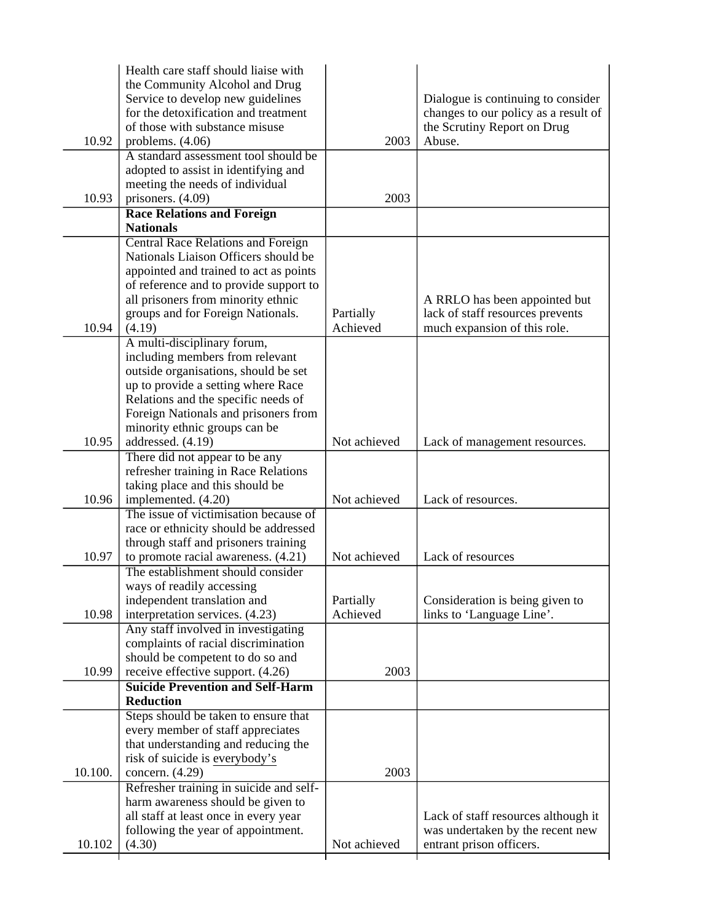|         | Health care staff should liaise with      |              |                                      |
|---------|-------------------------------------------|--------------|--------------------------------------|
|         | the Community Alcohol and Drug            |              |                                      |
|         | Service to develop new guidelines         |              | Dialogue is continuing to consider   |
|         | for the detoxification and treatment      |              | changes to our policy as a result of |
|         | of those with substance misuse            |              | the Scrutiny Report on Drug          |
| 10.92   | problems. $(4.06)$                        | 2003         | Abuse.                               |
|         | A standard assessment tool should be      |              |                                      |
|         | adopted to assist in identifying and      |              |                                      |
|         | meeting the needs of individual           |              |                                      |
| 10.93   | prisoners. (4.09)                         | 2003         |                                      |
|         | <b>Race Relations and Foreign</b>         |              |                                      |
|         | <b>Nationals</b>                          |              |                                      |
|         | <b>Central Race Relations and Foreign</b> |              |                                      |
|         | Nationals Liaison Officers should be      |              |                                      |
|         | appointed and trained to act as points    |              |                                      |
|         | of reference and to provide support to    |              |                                      |
|         | all prisoners from minority ethnic        |              |                                      |
|         |                                           |              | A RRLO has been appointed but        |
|         | groups and for Foreign Nationals.         | Partially    | lack of staff resources prevents     |
| 10.94   | (4.19)                                    | Achieved     | much expansion of this role.         |
|         | A multi-disciplinary forum,               |              |                                      |
|         | including members from relevant           |              |                                      |
|         | outside organisations, should be set      |              |                                      |
|         | up to provide a setting where Race        |              |                                      |
|         | Relations and the specific needs of       |              |                                      |
|         | Foreign Nationals and prisoners from      |              |                                      |
|         | minority ethnic groups can be             |              |                                      |
| 10.95   | addressed. (4.19)                         | Not achieved | Lack of management resources.        |
|         | There did not appear to be any            |              |                                      |
|         | refresher training in Race Relations      |              |                                      |
|         | taking place and this should be           |              |                                      |
| 10.96   | implemented. (4.20)                       | Not achieved | Lack of resources.                   |
|         | The issue of victimisation because of     |              |                                      |
|         | race or ethnicity should be addressed     |              |                                      |
|         | through staff and prisoners training      |              |                                      |
| 10.97   | to promote racial awareness. (4.21)       | Not achieved | Lack of resources                    |
|         | The establishment should consider         |              |                                      |
|         | ways of readily accessing                 |              |                                      |
|         | independent translation and               | Partially    | Consideration is being given to      |
| 10.98   | interpretation services. (4.23)           | Achieved     | links to 'Language Line'.            |
|         | Any staff involved in investigating       |              |                                      |
|         | complaints of racial discrimination       |              |                                      |
|         | should be competent to do so and          |              |                                      |
| 10.99   | receive effective support. (4.26)         | 2003         |                                      |
|         | <b>Suicide Prevention and Self-Harm</b>   |              |                                      |
|         | <b>Reduction</b>                          |              |                                      |
|         | Steps should be taken to ensure that      |              |                                      |
|         | every member of staff appreciates         |              |                                      |
|         | that understanding and reducing the       |              |                                      |
|         | risk of suicide is everybody's            |              |                                      |
| 10.100. | concern. (4.29)                           | 2003         |                                      |
|         | Refresher training in suicide and self-   |              |                                      |
|         | harm awareness should be given to         |              |                                      |
|         | all staff at least once in every year     |              | Lack of staff resources although it  |
|         | following the year of appointment.        |              | was undertaken by the recent new     |
| 10.102  | (4.30)                                    | Not achieved | entrant prison officers.             |
|         |                                           |              |                                      |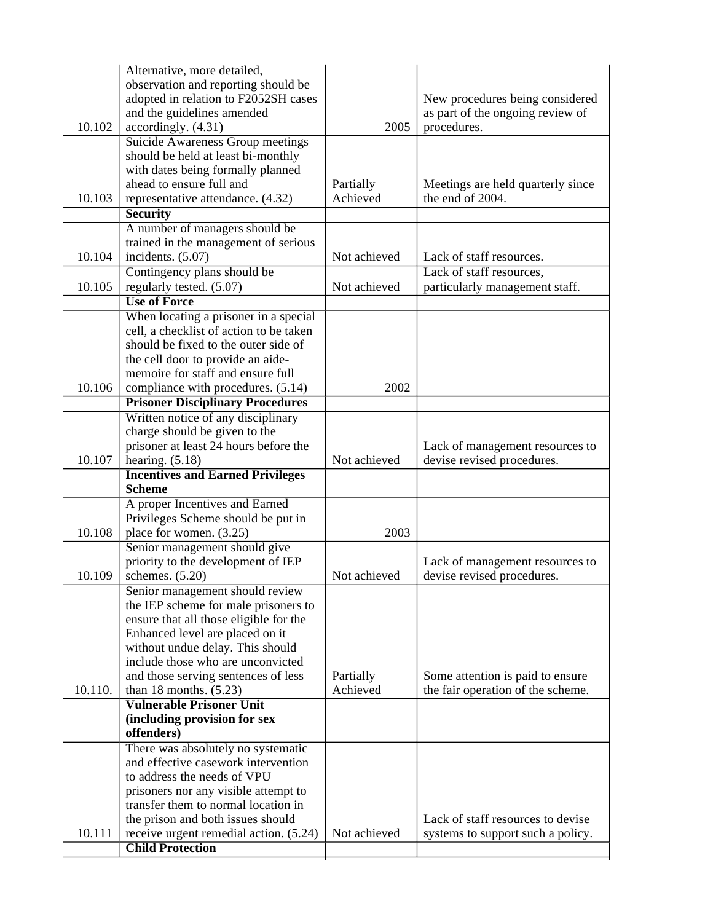|         | Alternative, more detailed,<br>observation and reporting should be<br>adopted in relation to F2052SH cases |              | New procedures being considered                            |
|---------|------------------------------------------------------------------------------------------------------------|--------------|------------------------------------------------------------|
| 10.102  | and the guidelines amended<br>accordingly. (4.31)                                                          | 2005         | as part of the ongoing review of<br>procedures.            |
|         | Suicide Awareness Group meetings<br>should be held at least bi-monthly                                     |              |                                                            |
|         | with dates being formally planned                                                                          |              |                                                            |
|         | ahead to ensure full and                                                                                   | Partially    | Meetings are held quarterly since                          |
| 10.103  | representative attendance. (4.32)                                                                          | Achieved     | the end of 2004.                                           |
|         | <b>Security</b>                                                                                            |              |                                                            |
|         | A number of managers should be                                                                             |              |                                                            |
|         | trained in the management of serious                                                                       |              |                                                            |
| 10.104  | incidents. (5.07)                                                                                          | Not achieved | Lack of staff resources.                                   |
| 10.105  | Contingency plans should be<br>regularly tested. (5.07)                                                    | Not achieved | Lack of staff resources,<br>particularly management staff. |
|         | <b>Use of Force</b>                                                                                        |              |                                                            |
|         | When locating a prisoner in a special                                                                      |              |                                                            |
|         | cell, a checklist of action to be taken                                                                    |              |                                                            |
|         | should be fixed to the outer side of                                                                       |              |                                                            |
|         | the cell door to provide an aide-                                                                          |              |                                                            |
|         | memoire for staff and ensure full                                                                          |              |                                                            |
| 10.106  | compliance with procedures. (5.14)                                                                         | 2002         |                                                            |
|         | <b>Prisoner Disciplinary Procedures</b><br>Written notice of any disciplinary                              |              |                                                            |
|         | charge should be given to the                                                                              |              |                                                            |
|         | prisoner at least 24 hours before the                                                                      |              | Lack of management resources to                            |
| 10.107  | hearing. $(5.18)$                                                                                          | Not achieved | devise revised procedures.                                 |
|         | <b>Incentives and Earned Privileges</b>                                                                    |              |                                                            |
|         | <b>Scheme</b>                                                                                              |              |                                                            |
|         | A proper Incentives and Earned                                                                             |              |                                                            |
|         | Privileges Scheme should be put in                                                                         |              |                                                            |
| 10.108  | place for women. (3.25)<br>Senior management should give                                                   | 2003         |                                                            |
|         | priority to the development of IEP                                                                         |              | Lack of management resources to                            |
| 10.109  | schemes. (5.20)                                                                                            | Not achieved | devise revised procedures.                                 |
|         | Senior management should review                                                                            |              |                                                            |
|         | the IEP scheme for male prisoners to                                                                       |              |                                                            |
|         | ensure that all those eligible for the                                                                     |              |                                                            |
|         | Enhanced level are placed on it                                                                            |              |                                                            |
|         | without undue delay. This should<br>include those who are unconvicted                                      |              |                                                            |
|         | and those serving sentences of less                                                                        | Partially    | Some attention is paid to ensure                           |
| 10.110. | than 18 months. $(5.23)$                                                                                   | Achieved     | the fair operation of the scheme.                          |
|         | <b>Vulnerable Prisoner Unit</b>                                                                            |              |                                                            |
|         | (including provision for sex                                                                               |              |                                                            |
|         | offenders)                                                                                                 |              |                                                            |
|         | There was absolutely no systematic                                                                         |              |                                                            |
|         | and effective casework intervention<br>to address the needs of VPU                                         |              |                                                            |
|         | prisoners nor any visible attempt to                                                                       |              |                                                            |
|         | transfer them to normal location in                                                                        |              |                                                            |
|         | the prison and both issues should                                                                          |              | Lack of staff resources to devise                          |
| 10.111  | receive urgent remedial action. (5.24)                                                                     | Not achieved | systems to support such a policy.                          |
|         | <b>Child Protection</b>                                                                                    |              |                                                            |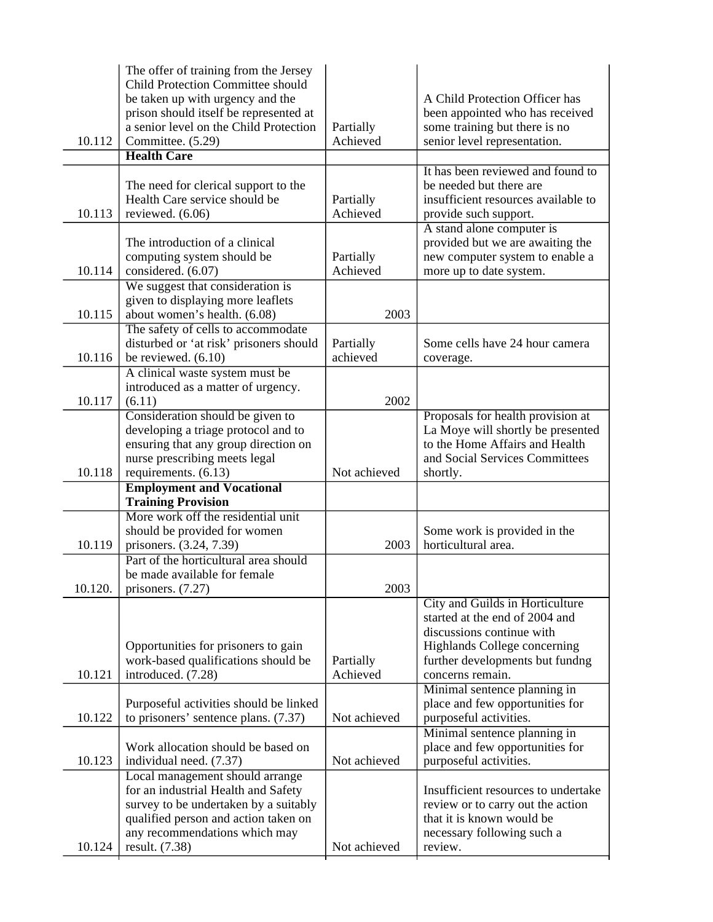| 10.112  | The offer of training from the Jersey<br><b>Child Protection Committee should</b><br>be taken up with urgency and the<br>prison should itself be represented at<br>a senior level on the Child Protection<br>Committee. (5.29) | Partially<br>Achieved | A Child Protection Officer has<br>been appointed who has received<br>some training but there is no<br>senior level representation.                                                    |
|---------|--------------------------------------------------------------------------------------------------------------------------------------------------------------------------------------------------------------------------------|-----------------------|---------------------------------------------------------------------------------------------------------------------------------------------------------------------------------------|
|         | <b>Health Care</b>                                                                                                                                                                                                             |                       |                                                                                                                                                                                       |
| 10.113  | The need for clerical support to the<br>Health Care service should be<br>reviewed. (6.06)                                                                                                                                      | Partially<br>Achieved | It has been reviewed and found to<br>be needed but there are<br>insufficient resources available to<br>provide such support.                                                          |
| 10.114  | The introduction of a clinical<br>computing system should be<br>considered. (6.07)                                                                                                                                             | Partially<br>Achieved | A stand alone computer is<br>provided but we are awaiting the<br>new computer system to enable a<br>more up to date system.                                                           |
| 10.115  | We suggest that consideration is<br>given to displaying more leaflets<br>about women's health. (6.08)                                                                                                                          | 2003                  |                                                                                                                                                                                       |
| 10.116  | The safety of cells to accommodate<br>disturbed or 'at risk' prisoners should<br>be reviewed. $(6.10)$                                                                                                                         | Partially<br>achieved | Some cells have 24 hour camera<br>coverage.                                                                                                                                           |
| 10.117  | A clinical waste system must be<br>introduced as a matter of urgency.<br>(6.11)                                                                                                                                                | 2002                  |                                                                                                                                                                                       |
| 10.118  | Consideration should be given to<br>developing a triage protocol and to<br>ensuring that any group direction on<br>nurse prescribing meets legal<br>requirements. (6.13)                                                       | Not achieved          | Proposals for health provision at<br>La Moye will shortly be presented<br>to the Home Affairs and Health<br>and Social Services Committees<br>shortly.                                |
|         | <b>Employment and Vocational</b><br><b>Training Provision</b>                                                                                                                                                                  |                       |                                                                                                                                                                                       |
| 10.119  | More work off the residential unit<br>should be provided for women<br>prisoners. (3.24, 7.39)                                                                                                                                  | 2003                  | Some work is provided in the<br>horticultural area.                                                                                                                                   |
| 10.120. | Part of the horticultural area should<br>be made available for female<br>prisoners. $(7.27)$                                                                                                                                   | 2003                  |                                                                                                                                                                                       |
| 10.121  | Opportunities for prisoners to gain<br>work-based qualifications should be<br>introduced. (7.28)                                                                                                                               | Partially<br>Achieved | City and Guilds in Horticulture<br>started at the end of 2004 and<br>discussions continue with<br>Highlands College concerning<br>further developments but fundng<br>concerns remain. |
| 10.122  | Purposeful activities should be linked<br>to prisoners' sentence plans. (7.37)                                                                                                                                                 | Not achieved          | Minimal sentence planning in<br>place and few opportunities for<br>purposeful activities.                                                                                             |
| 10.123  | Work allocation should be based on<br>individual need. (7.37)                                                                                                                                                                  | Not achieved          | Minimal sentence planning in<br>place and few opportunities for<br>purposeful activities.                                                                                             |
| 10.124  | Local management should arrange<br>for an industrial Health and Safety<br>survey to be undertaken by a suitably<br>qualified person and action taken on<br>any recommendations which may<br>result. (7.38)                     | Not achieved          | Insufficient resources to undertake<br>review or to carry out the action<br>that it is known would be<br>necessary following such a<br>review.                                        |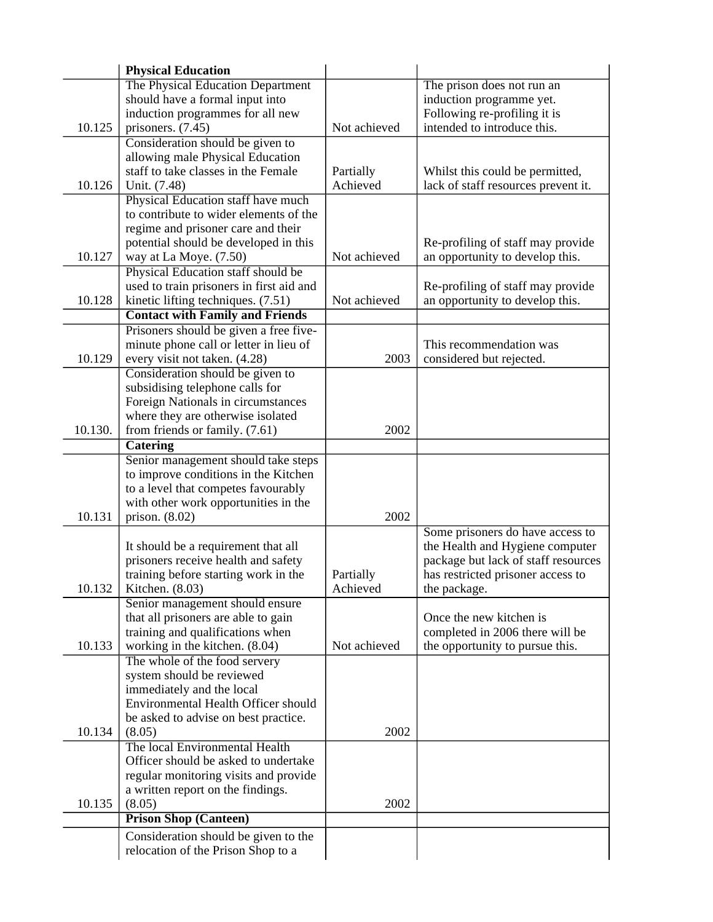|         | <b>Physical Education</b>                |              |                                     |
|---------|------------------------------------------|--------------|-------------------------------------|
|         | The Physical Education Department        |              | The prison does not run an          |
|         | should have a formal input into          |              | induction programme yet.            |
|         | induction programmes for all new         |              | Following re-profiling it is        |
| 10.125  | prisoners. (7.45)                        | Not achieved | intended to introduce this.         |
|         | Consideration should be given to         |              |                                     |
|         | allowing male Physical Education         |              |                                     |
|         | staff to take classes in the Female      | Partially    | Whilst this could be permitted,     |
| 10.126  | Unit. (7.48)                             | Achieved     | lack of staff resources prevent it. |
|         | Physical Education staff have much       |              |                                     |
|         | to contribute to wider elements of the   |              |                                     |
|         | regime and prisoner care and their       |              |                                     |
|         | potential should be developed in this    |              | Re-profiling of staff may provide   |
| 10.127  | way at La Moye. (7.50)                   | Not achieved | an opportunity to develop this.     |
|         | Physical Education staff should be       |              |                                     |
|         | used to train prisoners in first aid and |              | Re-profiling of staff may provide   |
| 10.128  | kinetic lifting techniques. (7.51)       | Not achieved | an opportunity to develop this.     |
|         | <b>Contact with Family and Friends</b>   |              |                                     |
|         | Prisoners should be given a free five-   |              |                                     |
|         | minute phone call or letter in lieu of   |              | This recommendation was             |
| 10.129  | every visit not taken. (4.28)            | 2003         | considered but rejected.            |
|         | Consideration should be given to         |              |                                     |
|         | subsidising telephone calls for          |              |                                     |
|         | Foreign Nationals in circumstances       |              |                                     |
|         | where they are otherwise isolated        |              |                                     |
| 10.130. | from friends or family. (7.61)           | 2002         |                                     |
|         | <b>Catering</b>                          |              |                                     |
|         | Senior management should take steps      |              |                                     |
|         | to improve conditions in the Kitchen     |              |                                     |
|         | to a level that competes favourably      |              |                                     |
|         | with other work opportunities in the     |              |                                     |
| 10.131  | prison. $(8.02)$                         | 2002         |                                     |
|         |                                          |              | Some prisoners do have access to    |
|         | It should be a requirement that all      |              | the Health and Hygiene computer     |
|         | prisoners receive health and safety      |              | package but lack of staff resources |
|         | training before starting work in the     | Partially    | has restricted prisoner access to   |
| 10.132  | Kitchen. (8.03)                          | Achieved     | the package.                        |
|         | Senior management should ensure          |              |                                     |
|         | that all prisoners are able to gain      |              | Once the new kitchen is             |
|         | training and qualifications when         |              | completed in 2006 there will be     |
| 10.133  | working in the kitchen. (8.04)           | Not achieved | the opportunity to pursue this.     |
|         | The whole of the food servery            |              |                                     |
|         | system should be reviewed                |              |                                     |
|         | immediately and the local                |              |                                     |
|         | Environmental Health Officer should      |              |                                     |
|         | be asked to advise on best practice.     |              |                                     |
| 10.134  | (8.05)                                   | 2002         |                                     |
|         | The local Environmental Health           |              |                                     |
|         | Officer should be asked to undertake     |              |                                     |
|         | regular monitoring visits and provide    |              |                                     |
|         | a written report on the findings.        |              |                                     |
| 10.135  | (8.05)                                   | 2002         |                                     |
|         | <b>Prison Shop (Canteen)</b>             |              |                                     |
|         | Consideration should be given to the     |              |                                     |
|         | relocation of the Prison Shop to a       |              |                                     |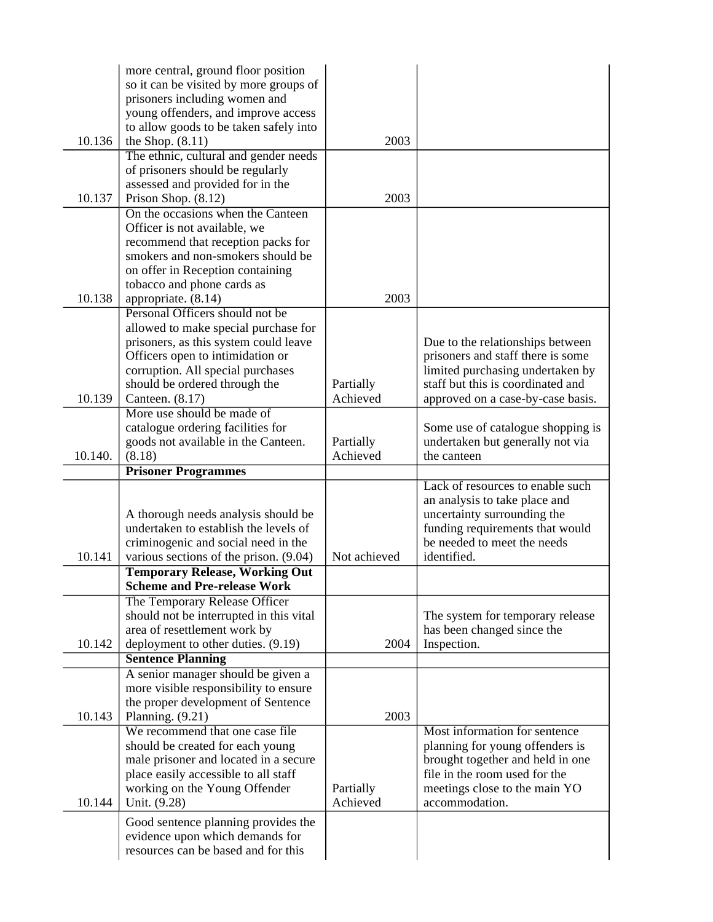|         | more central, ground floor position<br>so it can be visited by more groups of |              |                                                                       |
|---------|-------------------------------------------------------------------------------|--------------|-----------------------------------------------------------------------|
|         | prisoners including women and                                                 |              |                                                                       |
|         | young offenders, and improve access                                           |              |                                                                       |
|         | to allow goods to be taken safely into                                        |              |                                                                       |
| 10.136  | the Shop. $(8.11)$                                                            | 2003         |                                                                       |
|         | The ethnic, cultural and gender needs                                         |              |                                                                       |
|         | of prisoners should be regularly                                              |              |                                                                       |
| 10.137  | assessed and provided for in the                                              | 2003         |                                                                       |
|         | Prison Shop. (8.12)<br>On the occasions when the Canteen                      |              |                                                                       |
|         | Officer is not available, we                                                  |              |                                                                       |
|         | recommend that reception packs for                                            |              |                                                                       |
|         | smokers and non-smokers should be                                             |              |                                                                       |
|         | on offer in Reception containing                                              |              |                                                                       |
|         | tobacco and phone cards as                                                    |              |                                                                       |
| 10.138  | appropriate. (8.14)                                                           | 2003         |                                                                       |
|         | Personal Officers should not be<br>allowed to make special purchase for       |              |                                                                       |
|         | prisoners, as this system could leave                                         |              | Due to the relationships between                                      |
|         | Officers open to intimidation or                                              |              | prisoners and staff there is some                                     |
|         | corruption. All special purchases                                             |              | limited purchasing undertaken by                                      |
|         | should be ordered through the                                                 | Partially    | staff but this is coordinated and                                     |
| 10.139  | Canteen. (8.17)                                                               | Achieved     | approved on a case-by-case basis.                                     |
|         | More use should be made of                                                    |              |                                                                       |
|         | catalogue ordering facilities for<br>goods not available in the Canteen.      | Partially    | Some use of catalogue shopping is<br>undertaken but generally not via |
| 10.140. | (8.18)                                                                        | Achieved     | the canteen                                                           |
|         | <b>Prisoner Programmes</b>                                                    |              |                                                                       |
|         |                                                                               |              | Lack of resources to enable such                                      |
|         |                                                                               |              | an analysis to take place and                                         |
|         | A thorough needs analysis should be                                           |              | uncertainty surrounding the                                           |
|         | undertaken to establish the levels of<br>criminogenic and social need in the  |              | funding requirements that would<br>be needed to meet the needs        |
| 10.141  | various sections of the prison. $(9.04)$                                      | Not achieved | identified.                                                           |
|         | <b>Temporary Release, Working Out</b>                                         |              |                                                                       |
|         | <b>Scheme and Pre-release Work</b>                                            |              |                                                                       |
|         | The Temporary Release Officer                                                 |              |                                                                       |
|         | should not be interrupted in this vital                                       |              | The system for temporary release                                      |
|         | area of resettlement work by                                                  |              | has been changed since the                                            |
| 10.142  | deployment to other duties. (9.19)<br><b>Sentence Planning</b>                | 2004         | Inspection.                                                           |
|         | A senior manager should be given a                                            |              |                                                                       |
|         | more visible responsibility to ensure                                         |              |                                                                       |
|         | the proper development of Sentence                                            |              |                                                                       |
| 10.143  | Planning. (9.21)                                                              | 2003         |                                                                       |
|         | We recommend that one case file                                               |              | Most information for sentence                                         |
|         | should be created for each young                                              |              | planning for young offenders is                                       |
|         | male prisoner and located in a secure                                         |              | brought together and held in one<br>file in the room used for the     |
|         | place easily accessible to all staff<br>working on the Young Offender         | Partially    | meetings close to the main YO                                         |
| 10.144  | Unit. (9.28)                                                                  | Achieved     | accommodation.                                                        |
|         |                                                                               |              |                                                                       |
|         |                                                                               |              |                                                                       |
|         | Good sentence planning provides the<br>evidence upon which demands for        |              |                                                                       |